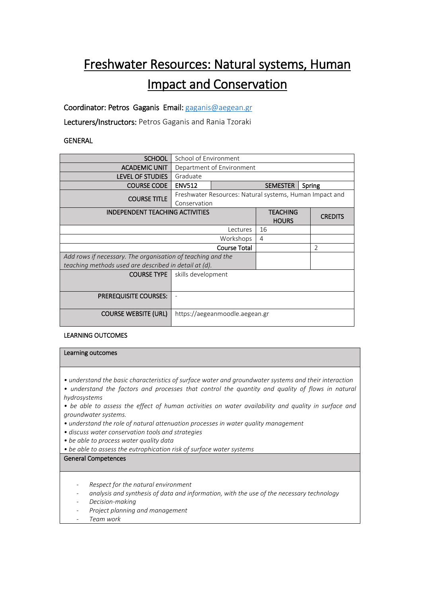# Freshwater Resources: Natural systems, Human Impact and Conservation

Coordinator: Petros Gaganis Email[: gaganis@aegean.gr](mailto:gaganis@aegean.gr)

Lecturers/Instructors: Petros Gaganis and Rania Tzoraki

## **GENERAL**

| <b>SCHOOL</b>                                               | School of Environment                                                   |                           |                                 |                |
|-------------------------------------------------------------|-------------------------------------------------------------------------|---------------------------|---------------------------------|----------------|
| <b>ACADEMIC UNIT</b>                                        | Department of Environment                                               |                           |                                 |                |
| <b>LEVEL OF STUDIES</b>                                     | Graduate                                                                |                           |                                 |                |
| <b>COURSE CODE</b>                                          | <b>ENV512</b>                                                           | <b>SEMESTER</b><br>Spring |                                 |                |
| <b>COURSE TITLE</b>                                         | Freshwater Resources: Natural systems, Human Impact and<br>Conservation |                           |                                 |                |
| <b>INDEPENDENT TEACHING ACTIVITIES</b>                      |                                                                         |                           | <b>TEACHING</b><br><b>HOURS</b> | <b>CREDITS</b> |
| Lectures                                                    |                                                                         |                           | 16                              |                |
| Workshops                                                   |                                                                         |                           | $\overline{4}$                  |                |
| <b>Course Total</b>                                         |                                                                         |                           |                                 | $\mathfrak{D}$ |
| Add rows if necessary. The organisation of teaching and the |                                                                         |                           |                                 |                |
| teaching methods used are described in detail at (d).       |                                                                         |                           |                                 |                |
| <b>COURSE TYPE</b>                                          | skills development                                                      |                           |                                 |                |
| <b>PREREQUISITE COURSES:</b>                                |                                                                         |                           |                                 |                |
| <b>COURSE WEBSITE (URL)</b>                                 | https://aegeanmoodle.aegean.gr                                          |                           |                                 |                |

### LEARNING OUTCOMES

#### Learning outcomes

*• understand the basic characteristics of surface water and groundwater systems and their interaction*

• understand the factors and processes that control the quantity and quality of flows in natural *hydrosystems* 

*• be able to assess the effect of human activities on water availability and quality in surface and groundwater systems.*

- *understand the role of natural attenuation processes in water quality management*
- *discuss water conservation tools and strategies*
- *be able to process water quality data*
- *be able to assess the eutrophication risk of surface water systems*

### General Competences

- *Respect for the natural environment*
- *analysis and synthesis of data and information, with the use of the necessary technology*
- *Decision-making*
- *Project planning and management*
- *Team work*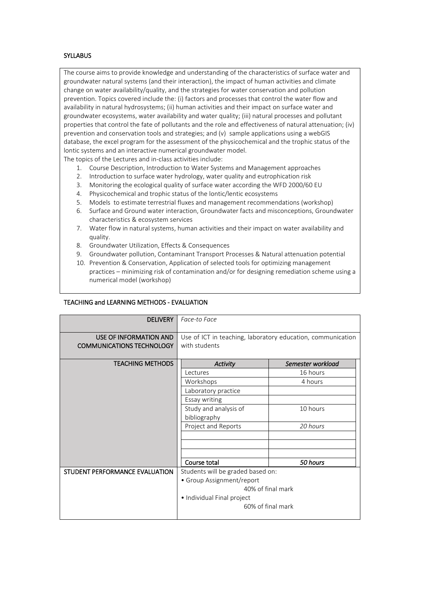#### **SYLLABUS**

The course aims to provide knowledge and understanding of the characteristics of surface water and groundwater natural systems (and their interaction), the impact of human activities and climate change on water availability/quality, and the strategies for water conservation and pollution prevention. Topics covered include the: (i) factors and processes that control the water flow and availability in natural hydrosystems; (ii) human activities and their impact on surface water and groundwater ecosystems, water availability and water quality; (iii) natural processes and pollutant properties that control the fate of pollutants and the role and effectiveness of natural attenuation; (iv) prevention and conservation tools and strategies; and (v) sample applications using a webGIS database, the excel program for the assessment of the physicochemical and the trophic status of the lontic systems and an interactive numerical groundwater model.

The topics of the Lectures and in-class activities include:

- 1. Course Description, Introduction to Water Systems and Management approaches
- 2. Introduction to surface water hydrology, water quality and eutrophication risk
- 3. Monitoring the ecological quality of surface water according the WFD 2000/60 EU
- 4. Physicochemical and trophic status of the lontic/lentic ecosystems
- 5. Models to estimate terrestrial fluxes and management recommendations (workshop)
- 6. Surface and Ground water interaction, Groundwater facts and misconceptions, Groundwater characteristics & ecosystem services
- 7. Water flow in natural systems, human activities and their impact on water availability and quality.
- 8. Groundwater Utilization, Effects & Consequences
- 9. Groundwater pollution, Contaminant Transport Processes & Natural attenuation potential
- 10. Prevention & Conservation, Application of selected tools for optimizing management practices – minimizing risk of contamination and/or for designing remediation scheme using a numerical model (workshop)

| <b>DELIVERY</b>                                            | Face-to Face                                                                 |                   |  |  |
|------------------------------------------------------------|------------------------------------------------------------------------------|-------------------|--|--|
| USE OF INFORMATION AND<br><b>COMMUNICATIONS TECHNOLOGY</b> | Use of ICT in teaching, laboratory education, communication<br>with students |                   |  |  |
| <b>TEACHING METHODS</b>                                    | <b>Activity</b>                                                              | Semester workload |  |  |
|                                                            | Lectures                                                                     | 16 hours          |  |  |
|                                                            | Workshops                                                                    | 4 hours           |  |  |
|                                                            | Laboratory practice                                                          |                   |  |  |
|                                                            | Essay writing                                                                |                   |  |  |
|                                                            | Study and analysis of<br>bibliography                                        | 10 hours          |  |  |
|                                                            | Project and Reports                                                          | 20 hours          |  |  |
|                                                            |                                                                              |                   |  |  |
|                                                            | Course total                                                                 | 50 hours          |  |  |
| STUDENT PERFORMANCE EVALUATION                             | Students will be graded based on:                                            |                   |  |  |
|                                                            | • Group Assignment/report                                                    |                   |  |  |
|                                                            | 40% of final mark<br>• Individual Final project<br>60% of final mark         |                   |  |  |
|                                                            |                                                                              |                   |  |  |
|                                                            |                                                                              |                   |  |  |

## TEACHING and LEARNING METHODS - EVALUATION